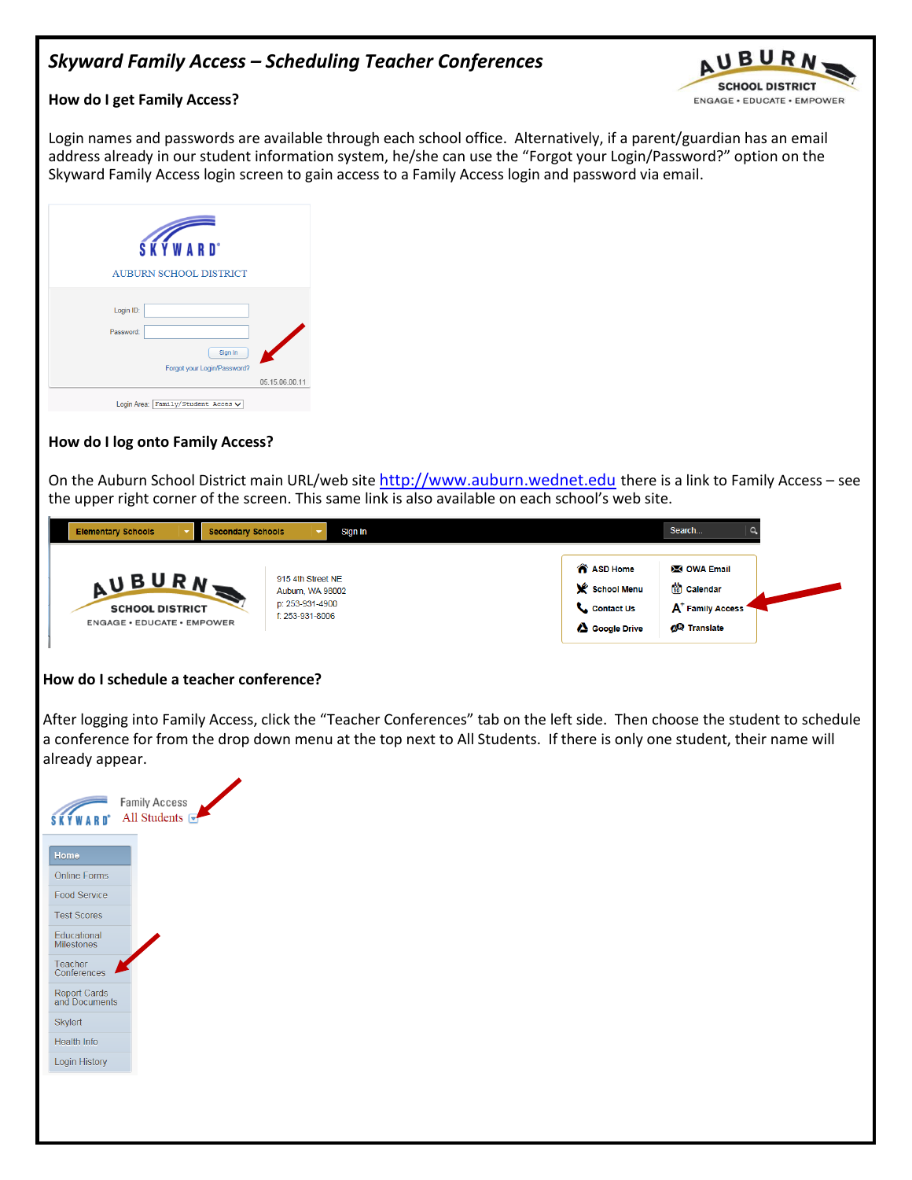# *Skyward Family Access – Scheduling Teacher Conferences*



#### **How do I get Family Access?**

Login names and passwords are available through each school office. Alternatively, if a parent/guardian has an email address already in our student information system, he/she can use the "Forgot your Login/Password?" option on the Skyward Family Access login screen to gain access to a Family Access login and password via email.

| <b>SKYWARD</b><br><b>AUBURN SCHOOL DISTRICT</b> |                |
|-------------------------------------------------|----------------|
| Login ID:<br>Password:                          |                |
| Sign In<br>Forgot your Login/Password?          | 05.15.06.00.11 |
| Login Area:   Family/Student Acces v            |                |

### **How do I log onto Family Access?**

On the Auburn School District main URL/web site [http://www.auburn.wednet.edu](http://www.auburn.wednet.edu/) there is a link to Family Access – see the upper right corner of the screen. This same link is also available on each school's web site.



### **How do I schedule a teacher conference?**

After logging into Family Access, click the "Teacher Conferences" tab on the left side. Then choose the student to schedule a conference for from the drop down menu at the top next to All Students. If there is only one student, their name will already appear.